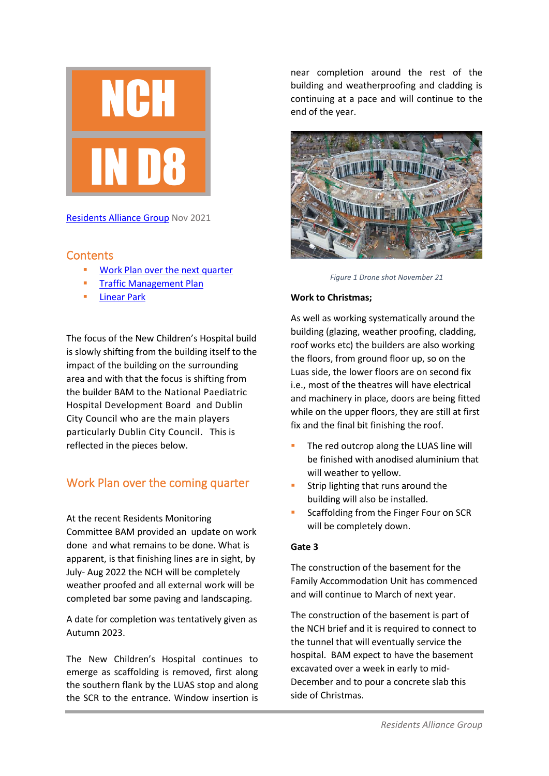

[Residents Alliance Group](mailto:http://residentsalliancegroup.com/) Nov 2021

### <span id="page-0-0"></span>**Contents**

- [Work Plan over the next quarter](#page-0-0)
- **■** [Traffic](#page-1-0) Management Plan
- **[Linear Park](#page-1-1)**

The focus of the New Children's Hospital build is slowly shifting from the building itself to the impact of the building on the surrounding area and with that the focus is shifting from the builder BAM to the National Paediatric Hospital Development Board and Dublin City Council who are the main players particularly Dublin City Council. This is reflected in the pieces below.

## Work Plan over the coming quarter

At the recent Residents Monitoring Committee BAM provided an update on work done and what remains to be done. What is apparent, is that finishing lines are in sight, by July- Aug 2022 the NCH will be completely weather proofed and all external work will be completed bar some paving and landscaping.

A date for completion was tentatively given as Autumn 2023.

The New Children's Hospital continues to emerge as scaffolding is removed, first along the southern flank by the LUAS stop and along the SCR to the entrance. Window insertion is

near completion around the rest of the building and weatherproofing and cladding is continuing at a pace and will continue to the end of the year.



*Figure 1 Drone shot November 21*

#### **Work to Christmas;**

As well as working systematically around the building (glazing, weather proofing, cladding, roof works etc) the builders are also working the floors, from ground floor up, so on the Luas side, the lower floors are on second fix i.e., most of the theatres will have electrical and machinery in place, doors are being fitted while on the upper floors, they are still at first fix and the final bit finishing the roof.

- The red outcrop along the LUAS line will be finished with anodised aluminium that will weather to yellow.
- Strip lighting that runs around the building will also be installed.
- Scaffolding from the Finger Four on SCR will be completely down.

#### **Gate 3**

The construction of the basement for the Family Accommodation Unit has commenced and will continue to March of next year.

The construction of the basement is part of the NCH brief and it is required to connect to the tunnel that will eventually service the hospital. BAM expect to have the basement excavated over a week in early to mid-December and to pour a concrete slab this side of Christmas.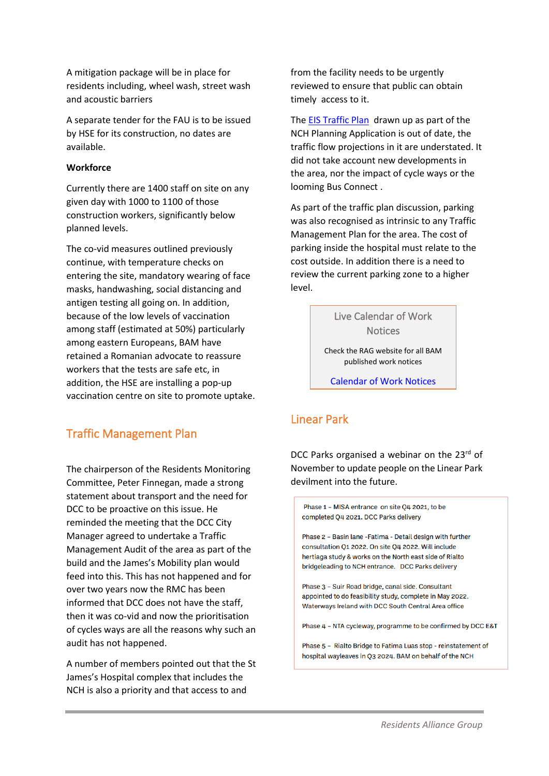A mitigation package will be in place for residents including, wheel wash, street wash and acoustic barriers

A separate tender for the FAU is to be issued by HSE for its construction, no dates are available.

#### **Workforce**

Currently there are 1400 staff on site on any given day with 1000 to 1100 of those construction workers, significantly below planned levels.

The co-vid measures outlined previously continue, with temperature checks on entering the site, mandatory wearing of face masks, handwashing, social distancing and antigen testing all going on. In addition, because of the low levels of vaccination among staff (estimated at 50%) particularly among eastern Europeans, BAM have retained a Romanian advocate to reassure workers that the tests are safe etc, in addition, the HSE are installing a pop-up vaccination centre on site to promote uptake.

### <span id="page-1-0"></span>Traffic Management Plan

The chairperson of the Residents Monitoring Committee, Peter Finnegan, made a strong statement about transport and the need for DCC to be proactive on this issue. He reminded the meeting that the DCC City Manager agreed to undertake a Traffic Management Audit of the area as part of the build and the James's Mobility plan would feed into this. This has not happened and for over two years now the RMC has been informed that DCC does not have the staff, then it was co-vid and now the prioritisation of cycles ways are all the reasons why such an audit has not happened.

A number of members pointed out that the St James's Hospital complex that includes the NCH is also a priority and that access to and

from the facility needs to be urgently reviewed to ensure that public can obtain timely access to it.

Th[e EIS Traffic Plan](https://www.nchplanning.ie/wp-content/uploads/2015/07/Chapter-6-Traffic.pdf) drawn up as part of the NCH Planning Application is out of date, the traffic flow projections in it are understated. It did not take account new developments in the area, nor the impact of cycle ways or the looming Bus Connect .

As part of the traffic plan discussion, parking was also recognised as intrinsic to any Traffic Management Plan for the area. The cost of parking inside the hospital must relate to the cost outside. In addition there is a need to review the current parking zone to a higher level.

> Live Calendar of Work **Notices**

Check the RAG website for all BAM published work notices

[Calendar of Work Notices](http://residentsalliancegroup.com/Calendar.html)

# <span id="page-1-1"></span>Linear Park

DCC Parks organised a webinar on the 23rd of November to update people on the Linear Park devilment into the future.

Phase 1 - MISA entrance on site Q4 2021, to be completed Q4 2021. DCC Parks delivery

Phase 2 - Basin Jane - Fatima - Detail design with further consultation O1 2022. On site O4 2022. Will include hertiaga study & works on the North east side of Rialto bridgeleading to NCH entrance. DCC Parks delivery

Phase 3 - Suir Road bridge, canal side. Consultant appointed to do feasibility study, complete in May 2022. Waterways Ireland with DCC South Central Area office

Phase 4 - NTA cycleway, programme to be confirmed by DCC E&T

Phase 5 - Rialto Bridge to Fatima Luas stop - reinstatement of hospital wayleaves in Q3 2024. BAM on behalf of the NCH